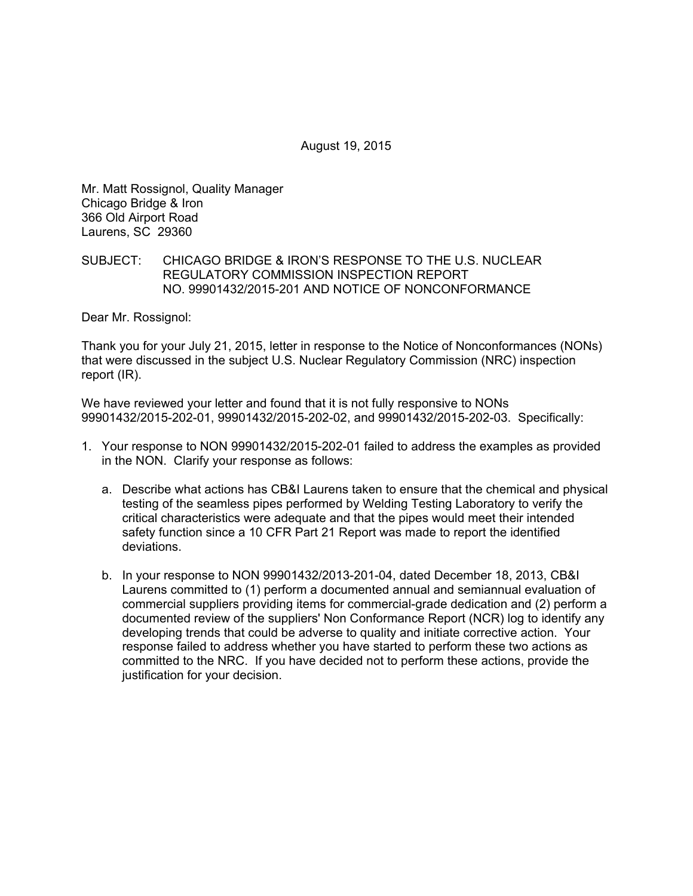August 19, 2015

Mr. Matt Rossignol, Quality Manager Chicago Bridge & Iron 366 Old Airport Road Laurens, SC 29360

## SUBJECT: CHICAGO BRIDGE & IRON'S RESPONSE TO THE U.S. NUCLEAR REGULATORY COMMISSION INSPECTION REPORT NO. 99901432/2015-201 AND NOTICE OF NONCONFORMANCE

Dear Mr. Rossignol:

Thank you for your July 21, 2015, letter in response to the Notice of Nonconformances (NONs) that were discussed in the subject U.S. Nuclear Regulatory Commission (NRC) inspection report (IR).

We have reviewed your letter and found that it is not fully responsive to NONs 99901432/2015-202-01, 99901432/2015-202-02, and 99901432/2015-202-03. Specifically:

- 1. Your response to NON 99901432/2015-202-01 failed to address the examples as provided in the NON. Clarify your response as follows:
	- a. Describe what actions has CB&I Laurens taken to ensure that the chemical and physical testing of the seamless pipes performed by Welding Testing Laboratory to verify the critical characteristics were adequate and that the pipes would meet their intended safety function since a 10 CFR Part 21 Report was made to report the identified deviations.
	- b. In your response to NON 99901432/2013-201-04, dated December 18, 2013, CB&I Laurens committed to (1) perform a documented annual and semiannual evaluation of commercial suppliers providing items for commercial-grade dedication and (2) perform a documented review of the suppliers' Non Conformance Report (NCR) log to identify any developing trends that could be adverse to quality and initiate corrective action. Your response failed to address whether you have started to perform these two actions as committed to the NRC. If you have decided not to perform these actions, provide the justification for your decision.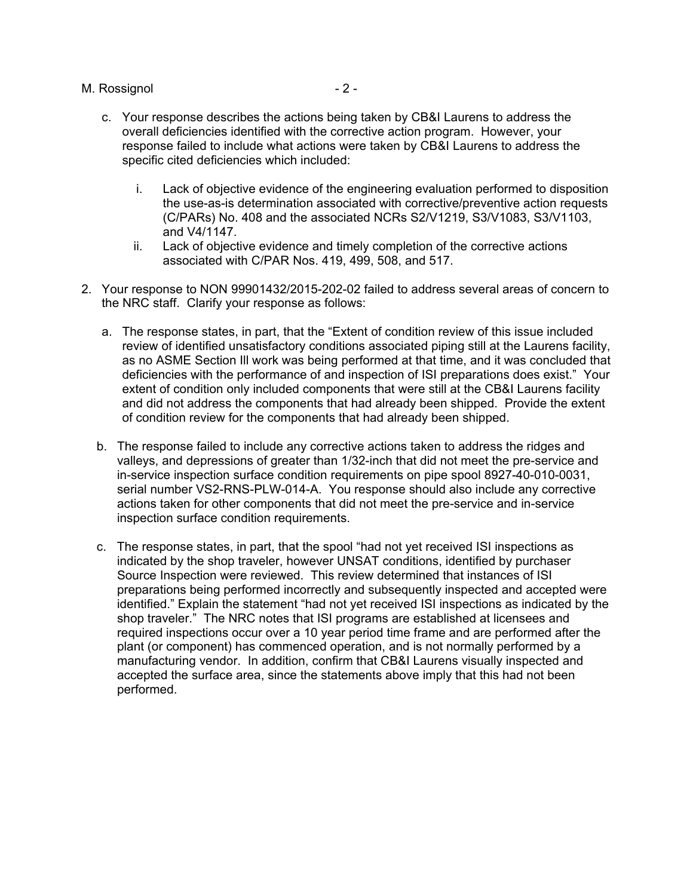## M. Rossignol 2 - 2 -

- c. Your response describes the actions being taken by CB&I Laurens to address the overall deficiencies identified with the corrective action program. However, your response failed to include what actions were taken by CB&I Laurens to address the specific cited deficiencies which included:
	- i. Lack of objective evidence of the engineering evaluation performed to disposition the use-as-is determination associated with corrective/preventive action requests (C/PARs) No. 408 and the associated NCRs S2/V1219, S3/V1083, S3/V1103, and V4/1147.
	- ii. Lack of objective evidence and timely completion of the corrective actions associated with C/PAR Nos. 419, 499, 508, and 517.
- 2. Your response to NON 99901432/2015-202-02 failed to address several areas of concern to the NRC staff. Clarify your response as follows:
	- a. The response states, in part, that the "Extent of condition review of this issue included review of identified unsatisfactory conditions associated piping still at the Laurens facility, as no ASME Section Ill work was being performed at that time, and it was concluded that deficiencies with the performance of and inspection of ISI preparations does exist." Your extent of condition only included components that were still at the CB&I Laurens facility and did not address the components that had already been shipped. Provide the extent of condition review for the components that had already been shipped.
	- b. The response failed to include any corrective actions taken to address the ridges and valleys, and depressions of greater than 1/32-inch that did not meet the pre-service and in-service inspection surface condition requirements on pipe spool 8927-40-010-0031, serial number VS2-RNS-PLW-014-A. You response should also include any corrective actions taken for other components that did not meet the pre-service and in-service inspection surface condition requirements.
	- c. The response states, in part, that the spool "had not yet received ISI inspections as indicated by the shop traveler, however UNSAT conditions, identified by purchaser Source Inspection were reviewed. This review determined that instances of ISI preparations being performed incorrectly and subsequently inspected and accepted were identified." Explain the statement "had not yet received ISI inspections as indicated by the shop traveler." The NRC notes that ISI programs are established at licensees and required inspections occur over a 10 year period time frame and are performed after the plant (or component) has commenced operation, and is not normally performed by a manufacturing vendor. In addition, confirm that CB&I Laurens visually inspected and accepted the surface area, since the statements above imply that this had not been performed.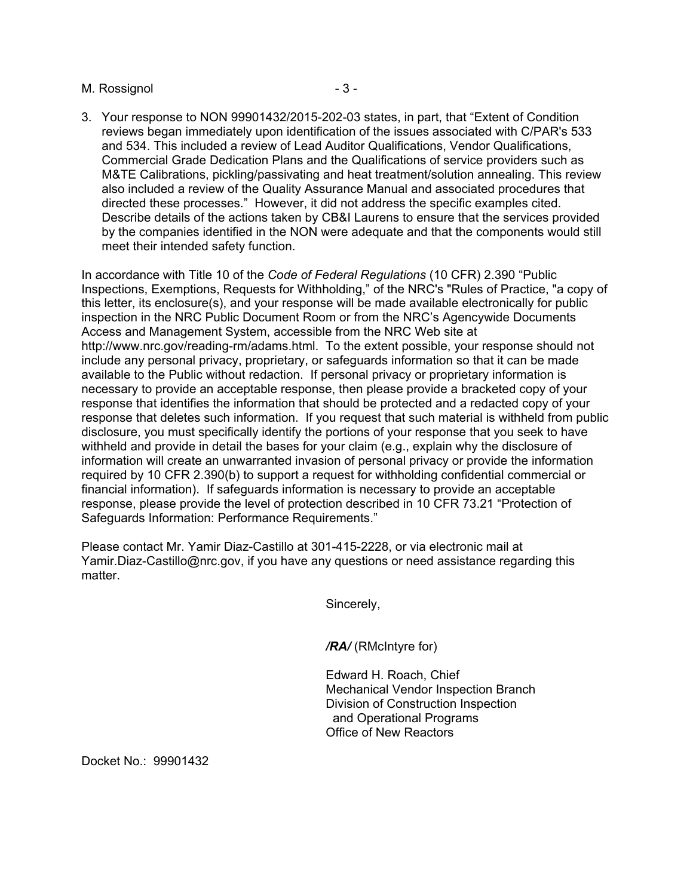#### M. Rossignol - 3 -

3. Your response to NON 99901432/2015-202-03 states, in part, that "Extent of Condition reviews began immediately upon identification of the issues associated with C/PAR's 533 and 534. This included a review of Lead Auditor Qualifications, Vendor Qualifications, Commercial Grade Dedication Plans and the Qualifications of service providers such as M&TE Calibrations, pickling/passivating and heat treatment/solution annealing. This review also included a review of the Quality Assurance Manual and associated procedures that directed these processes." However, it did not address the specific examples cited. Describe details of the actions taken by CB&I Laurens to ensure that the services provided by the companies identified in the NON were adequate and that the components would still meet their intended safety function.

In accordance with Title 10 of the *Code of Federal Regulations* (10 CFR) 2.390 "Public Inspections, Exemptions, Requests for Withholding," of the NRC's "Rules of Practice, "a copy of this letter, its enclosure(s), and your response will be made available electronically for public inspection in the NRC Public Document Room or from the NRC's Agencywide Documents Access and Management System, accessible from the NRC Web site at http://www.nrc.gov/reading-rm/adams.html. To the extent possible, your response should not include any personal privacy, proprietary, or safeguards information so that it can be made available to the Public without redaction. If personal privacy or proprietary information is necessary to provide an acceptable response, then please provide a bracketed copy of your response that identifies the information that should be protected and a redacted copy of your response that deletes such information. If you request that such material is withheld from public disclosure, you must specifically identify the portions of your response that you seek to have withheld and provide in detail the bases for your claim (e.g., explain why the disclosure of information will create an unwarranted invasion of personal privacy or provide the information required by 10 CFR 2.390(b) to support a request for withholding confidential commercial or financial information). If safeguards information is necessary to provide an acceptable response, please provide the level of protection described in 10 CFR 73.21 "Protection of Safeguards Information: Performance Requirements."

Please contact Mr. Yamir Diaz-Castillo at 301-415-2228, or via electronic mail at Yamir.Diaz-Castillo@nrc.gov, if you have any questions or need assistance regarding this matter.

Sincerely,

*/RA/* (RMcIntyre for)

Edward H. Roach, Chief Mechanical Vendor Inspection Branch Division of Construction Inspection and Operational Programs Office of New Reactors

Docket No.: 99901432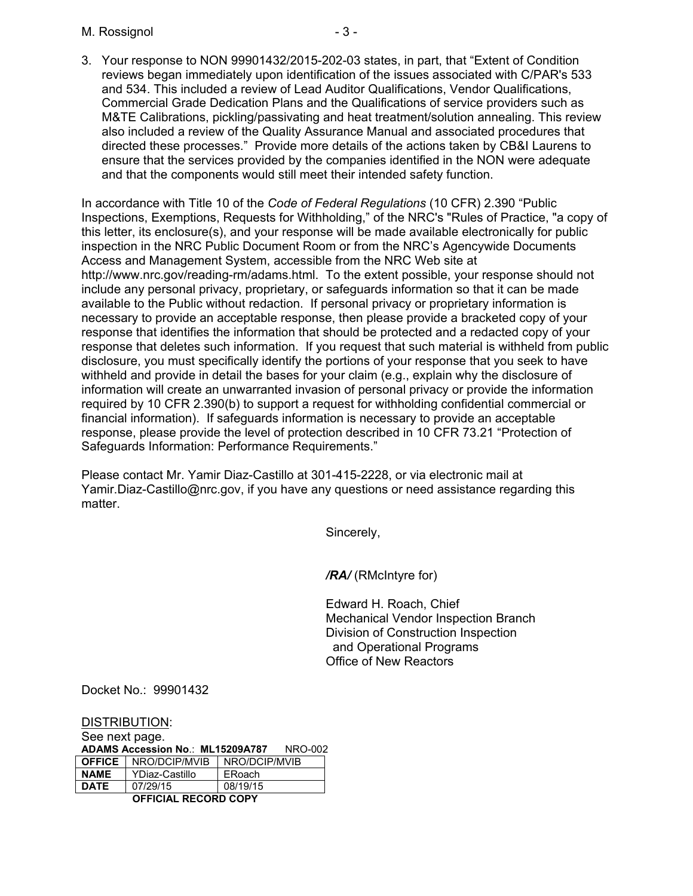M. Rossignol **A. A.** - 3 -

3. Your response to NON 99901432/2015-202-03 states, in part, that "Extent of Condition reviews began immediately upon identification of the issues associated with C/PAR's 533 and 534. This included a review of Lead Auditor Qualifications, Vendor Qualifications, Commercial Grade Dedication Plans and the Qualifications of service providers such as M&TE Calibrations, pickling/passivating and heat treatment/solution annealing. This review also included a review of the Quality Assurance Manual and associated procedures that directed these processes." Provide more details of the actions taken by CB&I Laurens to ensure that the services provided by the companies identified in the NON were adequate and that the components would still meet their intended safety function.

In accordance with Title 10 of the *Code of Federal Regulations* (10 CFR) 2.390 "Public Inspections, Exemptions, Requests for Withholding," of the NRC's "Rules of Practice, "a copy of this letter, its enclosure(s), and your response will be made available electronically for public inspection in the NRC Public Document Room or from the NRC's Agencywide Documents Access and Management System, accessible from the NRC Web site at http://www.nrc.gov/reading-rm/adams.html. To the extent possible, your response should not include any personal privacy, proprietary, or safeguards information so that it can be made available to the Public without redaction. If personal privacy or proprietary information is necessary to provide an acceptable response, then please provide a bracketed copy of your response that identifies the information that should be protected and a redacted copy of your response that deletes such information. If you request that such material is withheld from public disclosure, you must specifically identify the portions of your response that you seek to have withheld and provide in detail the bases for your claim (e.g., explain why the disclosure of information will create an unwarranted invasion of personal privacy or provide the information required by 10 CFR 2.390(b) to support a request for withholding confidential commercial or financial information). If safeguards information is necessary to provide an acceptable response, please provide the level of protection described in 10 CFR 73.21 "Protection of Safeguards Information: Performance Requirements."

Please contact Mr. Yamir Diaz-Castillo at 301-415-2228, or via electronic mail at Yamir.Diaz-Castillo@nrc.gov, if you have any questions or need assistance regarding this matter.

Sincerely,

*/RA/* (RMcIntyre for)

Edward H. Roach, Chief Mechanical Vendor Inspection Branch Division of Construction Inspection and Operational Programs Office of New Reactors

Docket No.: 99901432

DISTRIBUTION:

See next page. **ADAMS Accession No**.: **ML15209A787** NRO-002 **OFFICE** NRO/DCIP/MVIB NRO/DCIP/MVIB **NAME** YDiaz-Castillo ERoach **DATE** 07/29/15 08/19/15 **OFFICIAL RECORD COPY**